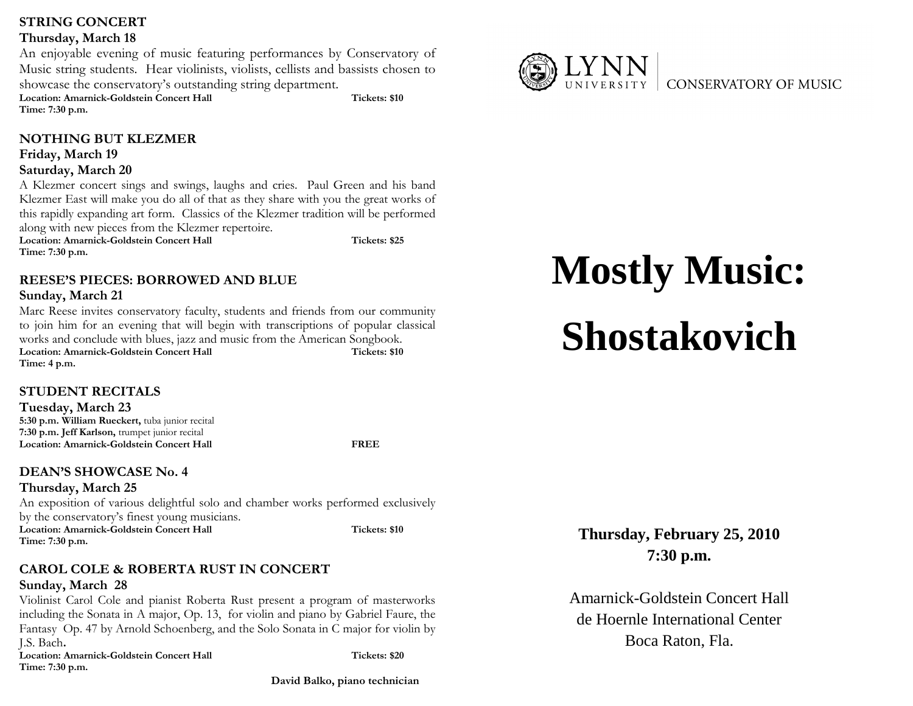# STRING CONCERT

#### Thursday, March 18

An enjoyable evening of music featuring performances by Conservatory of Music string students. Hear violinists, violists, cellists and bassists chosen to showcase the conservatory's outstanding string department. showcase the conservatory's outstanding string department. Location: Amarnick-Goldstein Concert Hall Time: 7:30 p.m. Tickets: \$10

# NOTHING BUT KLEZMER

## Friday, March 19

#### Saturday, March 20

 A Klezmer concert sings and swings, laughs and cries. Paul Green and his band Klezmer East will make you do all of that as they share with you the great works of this rapidly expanding art form. Classics of the Klezmer tradition will be performed along with new pieces from the Klezmer repertoire. Location: Amarnick-Goldstein Concert Hall Time: 7:30 p.m. is and swings, laughs and cries. Paul Green and his bar<br>you do all of that as they share with you the great works<br>t form. Classics of the Klezmer tradition will be perform Tickets: \$25

REESE'S PIECES: BORROWED AND BLUE

# Sunday, March 21

Marc Reese invites conservatory faculty, students and friends from our community to join him for an evening that will begin with transcriptions of popular classical works and conclude with blues, jazz and music from the American Songbook. Location: Amarnick-Goldstein Concert Hall Time: 4 p.m. free conservatory faculty, students and friends from our community<br>an evening that will begin with transcriptions of popular classical<br>ide with blues, jazz and music from the American Songbook. Tickets: \$10

# STUDENT RECITALS

Tuesday, March 23 5:30 p.m. William Rueckert, tuba junior recital 7:30 p.m. Jeff Karlson, trumpet junior recital Location: Amarnick-Goldstein Concert Hall

FREE

# DEAN'S SHOWCASE No. 4

Thursday, March 25

An exposition of various delightful solo and chamber works performed exclusively by the conservatory's finest young musicians. Location: Amarnick-Goldstein Concert Hall Tickets: \$10

Time: 7:30 p.m.

## CAROL COLE & ROBERTA RUST IN CONCERT Sunday, March 28

 Violinist Carol Cole and pianist Roberta Rust present a program of masterworks including the Sonata in A major, Op. 13, for violin and piano by Gabriel Faure, the Fantasy Op. 47 by Arnold Schoenberg, and the Solo Sonata in C major for violin by J.S. Bach. iolinist Carol Cole and pianist Roberta Rust present a program of masterwor<br>cluding the Sonata in A major, Op. 13, for violin and piano by Gabriel Faure, t<br>antasy Op. 47 by Arnold Schoenberg, and the Solo Sonata in C major Exert a program of masterworks<br>
and piano by Gabriel Faure, the<br>
lo Sonata in C major for violin by<br>
Tickets: \$20<br>
David Balko, piano technician

Location: Amarnick-Goldstein Concert Hall Time: 7:30 p.m.

Tickets: \$20

David Balko, piano technician



# **Mostly Music: Shostakovich**

# **Thursday, February 25, 20107:30 p.m.**

Amarnick-Goldstein Concert Hallde Hoernle International CenterBoca Raton, Fla.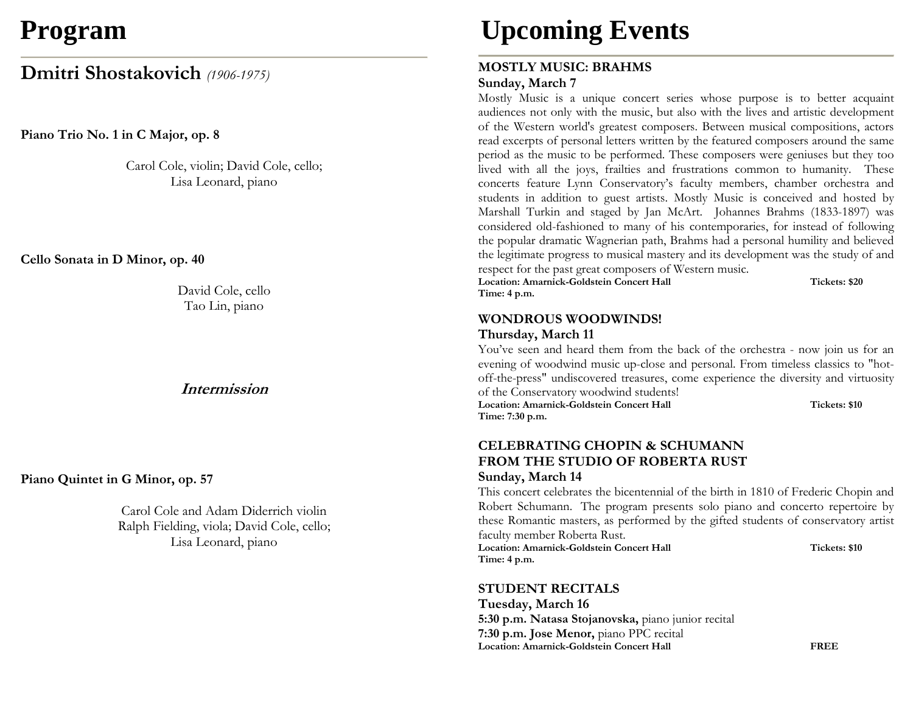# **Program**

# Dmitri Shostakovich (1906-1975)

Piano Trio No. 1 in C Major, op. 8

Carol Cole, violin; David Cole, cello; Lisa Leonard, piano

Cello Sonata in D Minor, op. 40

David Cole, cello Tao Lin, piano

# Intermission

Piano Quintet in G Minor, op. 57

Carol Cole and Adam Diderrich violin Ralph Fielding, viola; David Cole, cello; Lisa Leonard, piano

# **Upcoming Events**

## MOSTLY MUSIC: BRAHMS Sunday, March 7

Mostly Music is a unique concert series whose purpose is to better acquaint audiences not only with the music, but also with the lives and artistic development of the Western world's greatest composers. Between musical compositions, actors read excerpts of personal letters written by the featured composers around the same period as the music to be performed. These composers were geniuses but they too lived with all the joys, frailties and frustrations common to humanity. These concerts feature Lynn Conservatory's faculty members, chamber orchestra and students in addition to guest artists. Mostly Music is conceived and hosted by Marshall Turkin and staged by Jan McArt. Johannes Brahms (1833-1897) was considered old-fashioned to many of his contemporaries, for instead of following the popular dramatic Wagnerian path, Brahms had a personal humility and believed the legitimate progress to musical mastery and its development was the study of and

respect for the past great composers of Western music. Location: Amarnick-Goldstein Concert Hall Tickets: \$20 Time: 4 p.m.

# WONDROUS WOODWINDS!

#### Thursday, March 11

You've seen and heard them from the back of the orchestra - now join us for an evening of woodwind music up-close and personal. From timeless classics to "hotoff-the-press" undiscovered treasures, come experience the diversity and virtuosity of the Conservatory woodwind students!

Location: Amarnick-Goldstein Concert Hall Tickets: \$10 Time: 7:30 p.m.

## CELEBRATING CHOPIN & SCHUMANN FROM THE STUDIO OF ROBERTA RUST Sunday, March 14

This concert celebrates the bicentennial of the birth in 1810 of Frederic Chopin and Robert Schumann. The program presents solo piano and concerto repertoire by these Romantic masters, as performed by the gifted students of conservatory artist faculty member Roberta Rust.

Location: Amarnick-Goldstein Concert Hall **Tickets: \$10** Tickets: \$10 Time: 4 p.m.

STUDENT RECITALS

Tuesday, March 16 5:30 p.m. Natasa Stojanovska, piano junior recital 7:30 p.m. Jose Menor, piano PPC recital Location: Amarnick-Goldstein Concert Hall FREE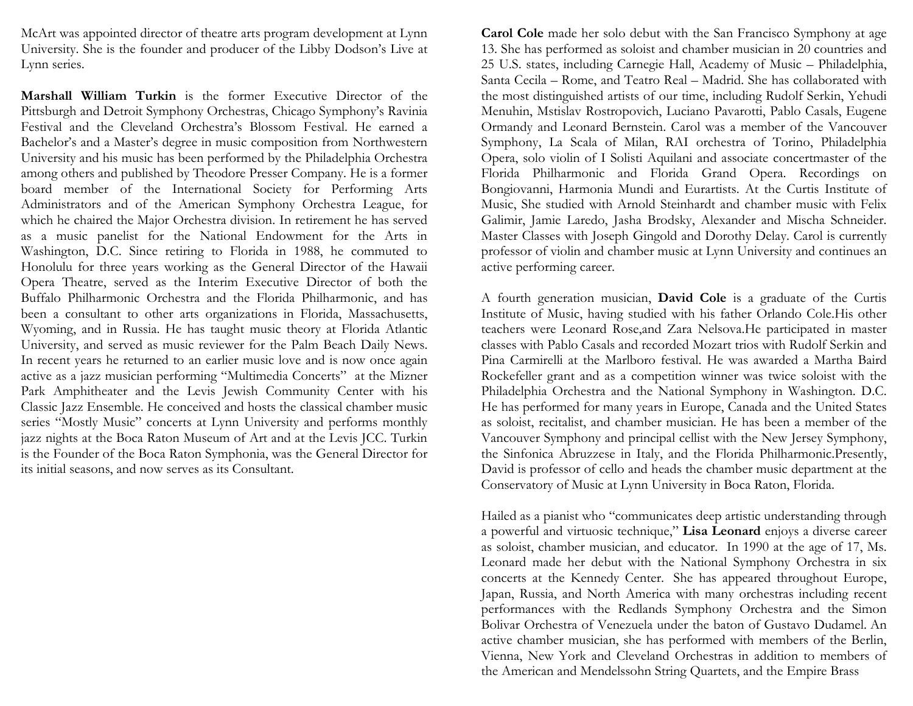McArt was appointed director of theatre arts program development at Lynn University. She is the founder and producer of the Libby Dodson's Live at Lynn series.

Marshall William Turkin is the former Executive Director of the Pittsburgh and Detroit Symphony Orchestras, Chicago Symphony's Ravinia Festival and the Cleveland Orchestra's Blossom Festival. He earned a Bachelor's and a Master's degree in music composition from Northwestern University and his music has been performed by the Philadelphia Orchestra among others and published by Theodore Presser Company. He is a former board member of the International Society for Performing Arts Administrators and of the American Symphony Orchestra League, for which he chaired the Major Orchestra division. In retirement he has served as a music panelist for the National Endowment for the Arts in Washington, D.C. Since retiring to Florida in 1988, he commuted to Honolulu for three years working as the General Director of the Hawaii Opera Theatre, served as the Interim Executive Director of both the Buffalo Philharmonic Orchestra and the Florida Philharmonic, and has been a consultant to other arts organizations in Florida, Massachusetts, Wyoming, and in Russia. He has taught music theory at Florida Atlantic University, and served as music reviewer for the Palm Beach Daily News. In recent years he returned to an earlier music love and is now once again active as a jazz musician performing "Multimedia Concerts" at the Mizner Park Amphitheater and the Levis Jewish Community Center with his Classic Jazz Ensemble. He conceived and hosts the classical chamber music series "Mostly Music" concerts at Lynn University and performs monthly jazz nights at the Boca Raton Museum of Art and at the Levis JCC. Turkin is the Founder of the Boca Raton Symphonia, was the General Director for its initial seasons, and now serves as its Consultant.

Carol Cole made her solo debut with the San Francisco Symphony at age 13. She has performed as soloist and chamber musician in 20 countries and 25 U.S. states, including Carnegie Hall, Academy of Music – Philadelphia, Santa Cecila – Rome, and Teatro Real – Madrid. She has collaborated with the most distinguished artists of our time, including Rudolf Serkin, Yehudi Menuhin, Mstislav Rostropovich, Luciano Pavarotti, Pablo Casals, Eugene Ormandy and Leonard Bernstein. Carol was a member of the Vancouver Symphony, La Scala of Milan, RAI orchestra of Torino, Philadelphia Opera, solo violin of I Solisti Aquilani and associate concertmaster of the Florida Philharmonic and Florida Grand Opera. Recordings on Bongiovanni, Harmonia Mundi and Eurartists. At the Curtis Institute of Music, She studied with Arnold Steinhardt and chamber music with Felix Galimir, Jamie Laredo, Jasha Brodsky, Alexander and Mischa Schneider. Master Classes with Joseph Gingold and Dorothy Delay. Carol is currently professor of violin and chamber music at Lynn University and continues an active performing career.

A fourth generation musician, David Cole is a graduate of the Curtis Institute of Music, having studied with his father Orlando Cole.His other teachers were Leonard Rose,and Zara Nelsova.He participated in master classes with Pablo Casals and recorded Mozart trios with Rudolf Serkin and Pina Carmirelli at the Marlboro festival. He was awarded a Martha Baird Rockefeller grant and as a competition winner was twice soloist with the Philadelphia Orchestra and the National Symphony in Washington. D.C. He has performed for many years in Europe, Canada and the United States as soloist, recitalist, and chamber musician. He has been a member of the Vancouver Symphony and principal cellist with the New Jersey Symphony, the Sinfonica Abruzzese in Italy, and the Florida Philharmonic.Presently, David is professor of cello and heads the chamber music department at the Conservatory of Music at Lynn University in Boca Raton, Florida.

Hailed as a pianist who "communicates deep artistic understanding through a powerful and virtuosic technique," Lisa Leonard enjoys a diverse career as soloist, chamber musician, and educator. In 1990 at the age of 17, Ms. Leonard made her debut with the National Symphony Orchestra in six concerts at the Kennedy Center. She has appeared throughout Europe, Japan, Russia, and North America with many orchestras including recent performances with the Redlands Symphony Orchestra and the Simon Bolivar Orchestra of Venezuela under the baton of Gustavo Dudamel. An active chamber musician, she has performed with members of the Berlin, Vienna, New York and Cleveland Orchestras in addition to members of the American and Mendelssohn String Quartets, and the Empire Brass